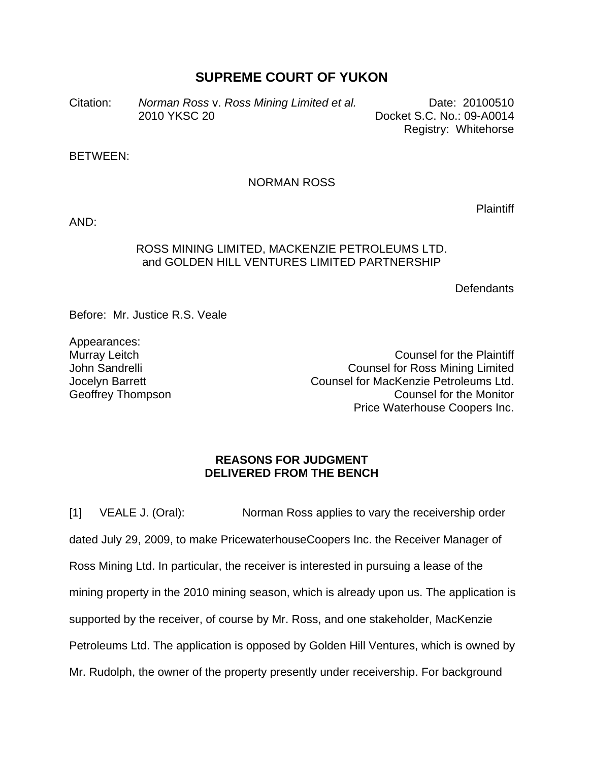# **SUPREME COURT OF YUKON**

Citation: *Norman Ross* v. *Ross Mining Limited et al.* Date: 20100510 2010 YKSC 20 Docket S.C. No.: 09-A0014 Registry: Whitehorse

BETWEEN:

## NORMAN ROSS

AND:

# ROSS MINING LIMITED, MACKENZIE PETROLEUMS LTD. and GOLDEN HILL VENTURES LIMITED PARTNERSHIP

**Defendants** 

Before: Mr. Justice R.S. Veale

Appearances: Murray Leitch John Sandrelli Jocelyn Barrett Geoffrey Thompson

Counsel for the Plaintiff Counsel for Ross Mining Limited Counsel for MacKenzie Petroleums Ltd. Counsel for the Monitor Price Waterhouse Coopers Inc.

## **REASONS FOR JUDGMENT DELIVERED FROM THE BENCH**

[1] VEALE J. (Oral): Norman Ross applies to vary the receivership order dated July 29, 2009, to make PricewaterhouseCoopers Inc. the Receiver Manager of Ross Mining Ltd. In particular, the receiver is interested in pursuing a lease of the mining property in the 2010 mining season, which is already upon us. The application is supported by the receiver, of course by Mr. Ross, and one stakeholder, MacKenzie Petroleums Ltd. The application is opposed by Golden Hill Ventures, which is owned by Mr. Rudolph, the owner of the property presently under receivership. For background

**Plaintiff**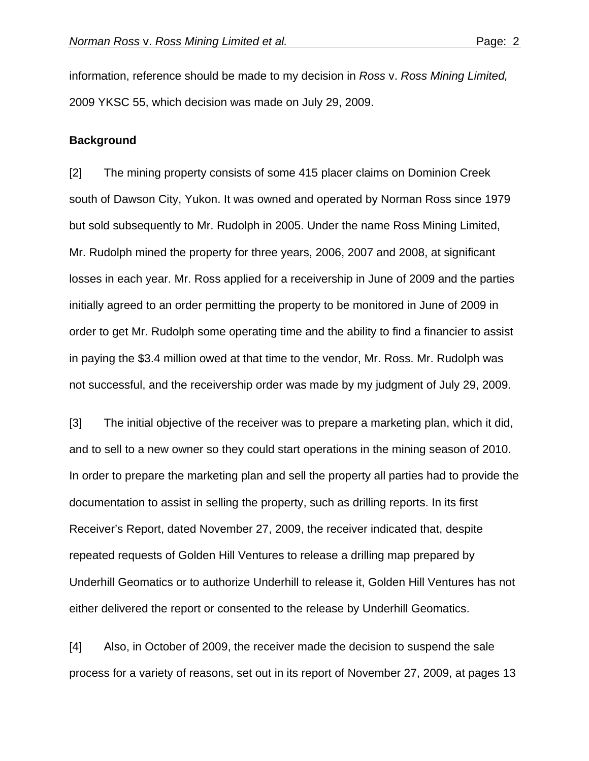information, reference should be made to my decision in *Ross* v. *Ross Mining Limited,*  2009 YKSC 55, which decision was made on July 29, 2009.

#### **Background**

[2] The mining property consists of some 415 placer claims on Dominion Creek south of Dawson City, Yukon. It was owned and operated by Norman Ross since 1979 but sold subsequently to Mr. Rudolph in 2005. Under the name Ross Mining Limited, Mr. Rudolph mined the property for three years, 2006, 2007 and 2008, at significant losses in each year. Mr. Ross applied for a receivership in June of 2009 and the parties initially agreed to an order permitting the property to be monitored in June of 2009 in order to get Mr. Rudolph some operating time and the ability to find a financier to assist in paying the \$3.4 million owed at that time to the vendor, Mr. Ross. Mr. Rudolph was not successful, and the receivership order was made by my judgment of July 29, 2009.

[3] The initial objective of the receiver was to prepare a marketing plan, which it did, and to sell to a new owner so they could start operations in the mining season of 2010. In order to prepare the marketing plan and sell the property all parties had to provide the documentation to assist in selling the property, such as drilling reports. In its first Receiver's Report, dated November 27, 2009, the receiver indicated that, despite repeated requests of Golden Hill Ventures to release a drilling map prepared by Underhill Geomatics or to authorize Underhill to release it, Golden Hill Ventures has not either delivered the report or consented to the release by Underhill Geomatics.

[4] Also, in October of 2009, the receiver made the decision to suspend the sale process for a variety of reasons, set out in its report of November 27, 2009, at pages 13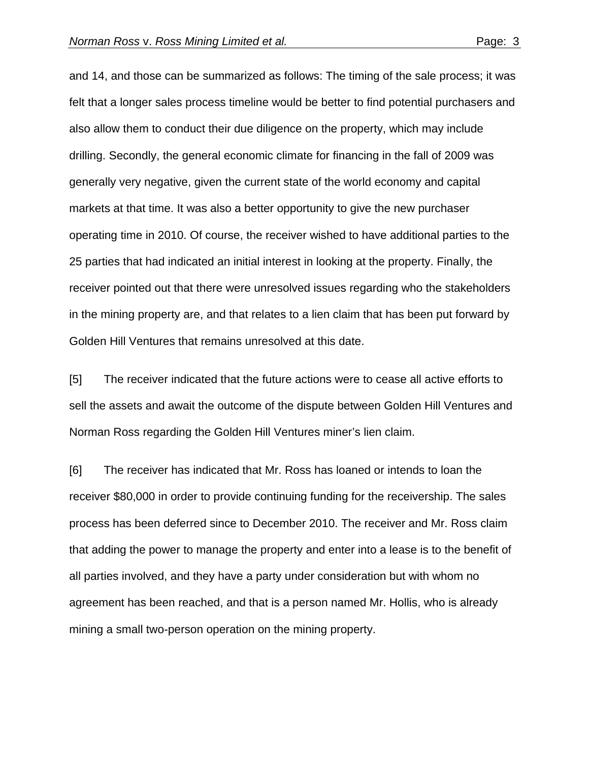and 14, and those can be summarized as follows: The timing of the sale process; it was felt that a longer sales process timeline would be better to find potential purchasers and also allow them to conduct their due diligence on the property, which may include drilling. Secondly, the general economic climate for financing in the fall of 2009 was generally very negative, given the current state of the world economy and capital markets at that time. It was also a better opportunity to give the new purchaser operating time in 2010. Of course, the receiver wished to have additional parties to the 25 parties that had indicated an initial interest in looking at the property. Finally, the receiver pointed out that there were unresolved issues regarding who the stakeholders in the mining property are, and that relates to a lien claim that has been put forward by Golden Hill Ventures that remains unresolved at this date.

[5] The receiver indicated that the future actions were to cease all active efforts to sell the assets and await the outcome of the dispute between Golden Hill Ventures and Norman Ross regarding the Golden Hill Ventures miner's lien claim.

[6] The receiver has indicated that Mr. Ross has loaned or intends to loan the receiver \$80,000 in order to provide continuing funding for the receivership. The sales process has been deferred since to December 2010. The receiver and Mr. Ross claim that adding the power to manage the property and enter into a lease is to the benefit of all parties involved, and they have a party under consideration but with whom no agreement has been reached, and that is a person named Mr. Hollis, who is already mining a small two-person operation on the mining property.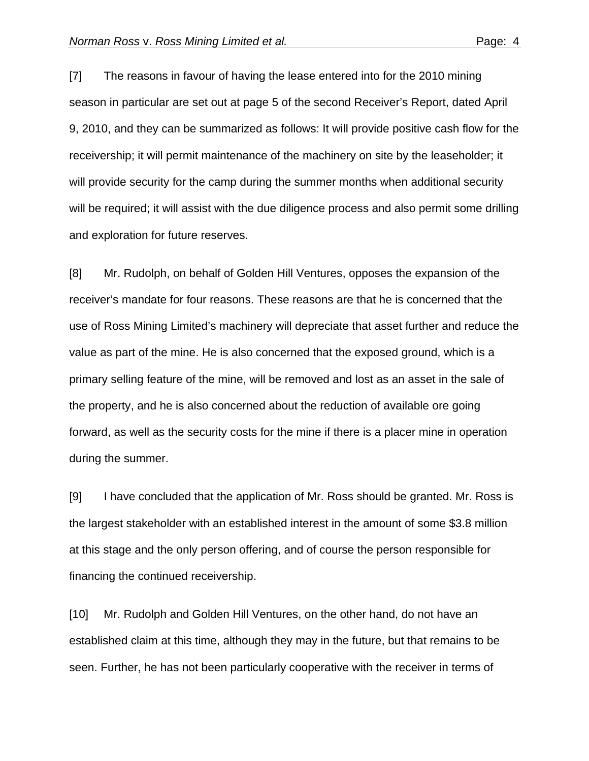[7] The reasons in favour of having the lease entered into for the 2010 mining season in particular are set out at page 5 of the second Receiver's Report, dated April 9, 2010, and they can be summarized as follows: It will provide positive cash flow for the receivership; it will permit maintenance of the machinery on site by the leaseholder; it will provide security for the camp during the summer months when additional security will be required; it will assist with the due diligence process and also permit some drilling and exploration for future reserves.

[8] Mr. Rudolph, on behalf of Golden Hill Ventures, opposes the expansion of the receiver's mandate for four reasons. These reasons are that he is concerned that the use of Ross Mining Limited's machinery will depreciate that asset further and reduce the value as part of the mine. He is also concerned that the exposed ground, which is a primary selling feature of the mine, will be removed and lost as an asset in the sale of the property, and he is also concerned about the reduction of available ore going forward, as well as the security costs for the mine if there is a placer mine in operation during the summer.

[9] I have concluded that the application of Mr. Ross should be granted. Mr. Ross is the largest stakeholder with an established interest in the amount of some \$3.8 million at this stage and the only person offering, and of course the person responsible for financing the continued receivership.

[10] Mr. Rudolph and Golden Hill Ventures, on the other hand, do not have an established claim at this time, although they may in the future, but that remains to be seen. Further, he has not been particularly cooperative with the receiver in terms of